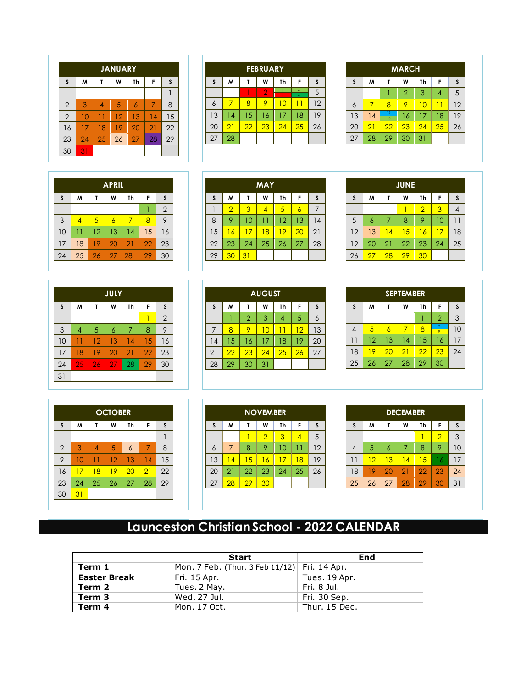|                | <b>JANUARY</b> |    |    |                |    |    |  |  |
|----------------|----------------|----|----|----------------|----|----|--|--|
| $\mathsf{s}$   | M              | Τ  | W  | Th             | F  | S  |  |  |
|                |                |    |    |                |    |    |  |  |
| $\overline{2}$ | 3              | 4  | 5  | $\overline{6}$ | 7  | 8  |  |  |
| 9              | 10             | 11 | 12 | 13             | 14 | 15 |  |  |
| 16             | 17             | 18 | 19 | 20             | 21 | 22 |  |  |
| 23             | 24             | 25 | 26 | 27             | 28 | 29 |  |  |
| 30             | 31             |    |    |                |    |    |  |  |

| <b>APRIL</b> |    |    |    |    |    |                |  |  |  |
|--------------|----|----|----|----|----|----------------|--|--|--|
| $\mathsf{s}$ | M  | T  | W  | Th | F  | S              |  |  |  |
|              |    |    |    |    |    | $\overline{2}$ |  |  |  |
| 3            | 4  | 5  | 6  | 7  | 8  | 9              |  |  |  |
| 10           |    | 12 | 13 | 14 | 15 | 16             |  |  |  |
| 17           | 18 | 19 | 20 | 21 | 22 | 23             |  |  |  |
| 24           | 25 | 26 | 27 | 28 | 29 | 30             |  |  |  |

|              | <b>JULY</b>    |    |                |    |    |                |  |  |
|--------------|----------------|----|----------------|----|----|----------------|--|--|
| $\mathsf{s}$ | M              | τ  | W              | Th | F  | S              |  |  |
|              |                |    |                |    |    | $\overline{2}$ |  |  |
| 3            | $\overline{4}$ | 5  | $\overline{6}$ | 7  | 8  | 9              |  |  |
| 10           |                | 12 | 13             | 14 | 15 | 16             |  |  |
| 17           | 18             | 19 | 20             | 21 | 22 | 23             |  |  |
| 24           | 25             | 26 | 27             | 28 | 29 | 30             |  |  |
| 31           |                |    |                |    |    |                |  |  |

|                | <b>OCTOBER</b> |                |    |                 |    |              |  |  |
|----------------|----------------|----------------|----|-----------------|----|--------------|--|--|
| $\mathsf{s}$   | M              | τ              | W  | Th              | F  | $\mathsf{s}$ |  |  |
|                |                |                |    |                 |    |              |  |  |
| $\overline{2}$ | 3              | $\overline{A}$ | 5  | $\ddot{\delta}$ | 7  | 8            |  |  |
| 9              | 10             | Ø              | 12 | 13              | 14 | 15           |  |  |
| 16             | 17             | 18             | 19 | 20              | 21 | 22           |  |  |
| 23             | 24             | 25             | 26 | 27              | 28 | 29           |  |  |
| 30             | 31             |                |    |                 |    |              |  |  |

| <b>FEBRUARY</b> |    |    |                |        |    |    |  |  |
|-----------------|----|----|----------------|--------|----|----|--|--|
| S               | W  | T  | W              | Th     | F  | S  |  |  |
|                 |    |    | $\overline{2}$ | 3<br>٩ |    | 5  |  |  |
| 6               | 7  | 8  | 9              | Ю      | 11 | 12 |  |  |
| 13              | 14 | 15 | 16             | 17     | 18 | 19 |  |  |
| 20              | 21 | 22 | 23             | 24     | 25 | 26 |  |  |
| 27              | 28 |    |                |        |    |    |  |  |

| <b>MAY</b> |                |    |                |    |    |    |  |  |
|------------|----------------|----|----------------|----|----|----|--|--|
| S          | W              | T  | W              | Th | F  | S  |  |  |
|            | $\overline{2}$ | 3  | $\overline{A}$ | 5  | 6  |    |  |  |
| 8          | 9              | 10 | 11             | 12 | 13 | 14 |  |  |
| 15         | 16             | 17 | 18             | 19 | 20 | 21 |  |  |
| 22         | 23             | 24 | 25             | 26 | 27 | 28 |  |  |
| 29         | 30             | 31 |                |    |    |    |  |  |

|    | <b>AUGUST</b> |                |    |    |    |    |  |  |  |
|----|---------------|----------------|----|----|----|----|--|--|--|
| S  | W             |                | W  | Th | F  | S  |  |  |  |
|    |               | $\overline{2}$ | 3  | 4  | 5  | 6  |  |  |  |
| 7  | 8             | 9              | 10 |    | 12 | 13 |  |  |  |
| 14 | 15            | 16             | 17 | 18 | 19 | 20 |  |  |  |
| 21 | 22            | 23             | 24 | 25 | 26 | 27 |  |  |  |
| 28 | 29            | 30             | 31 |    |    |    |  |  |  |

|    | <b>NOVEMBER</b> |    |    |    |    |    |  |  |  |
|----|-----------------|----|----|----|----|----|--|--|--|
| S  | М               | т  | W  | Th | F  | S  |  |  |  |
|    |                 |    | 2  | 3  | 4  | 5  |  |  |  |
| 6  | 7               | 8  | 9  | 10 | 11 | 12 |  |  |  |
| 13 | 14              | 15 | 16 | 17 | 18 | 19 |  |  |  |
| 20 | 21              | 22 | 23 | 24 | 25 | 26 |  |  |  |
| 27 | 28              | 29 | 30 |    |    |    |  |  |  |
|    |                 |    |    |    |    |    |  |  |  |

| <b>MARCH</b> |           |                |    |    |    |  |  |  |
|--------------|-----------|----------------|----|----|----|--|--|--|
| M            | т         | W              | Th | F  | S  |  |  |  |
|              |           | $\overline{2}$ | 3  |    | 5  |  |  |  |
| 7            | 8         | 9              | 10 | 11 | 12 |  |  |  |
| 14           | 15<br>1.5 | 16             | 17 | 18 | 19 |  |  |  |
| 21           | 22        | 23             | 24 | 25 | 26 |  |  |  |
| 28           | 29        | 30             | 31 |    |    |  |  |  |
|              |           |                |    |    |    |  |  |  |

| <b>JUNE</b>    |    |    |    |                |    |    |  |  |
|----------------|----|----|----|----------------|----|----|--|--|
| S              | M  |    | W  | Th             | F  | S  |  |  |
|                |    |    |    | $\overline{2}$ | 3  |    |  |  |
| $\overline{5}$ | 6  | 7  | 8  | 9              | 10 | 11 |  |  |
| 12             | 13 | 14 | 15 | 16             | 17 | 18 |  |  |
| 19             | 20 | 21 | 22 | 23             | 24 | 25 |  |  |
| 26             | 27 | 28 | 29 | 30             |    |    |  |  |

| <b>SEPTEMBER</b> |    |    |    |    |                        |    |  |  |
|------------------|----|----|----|----|------------------------|----|--|--|
| S                | M  | τ  | W  | Th | F                      | S  |  |  |
|                  |    |    |    |    | $\overline{2}$         | 3  |  |  |
| 4                | 5  | 6  |    | 8  | 9<br>$\ddot{\text{o}}$ | 10 |  |  |
|                  | 12 | 13 | 14 | 15 | 16                     | 17 |  |  |
| 18               | 19 | 20 | 21 | 22 | 23                     | 24 |  |  |
| 25               | 26 | 27 | 28 | 29 | 30                     |    |  |  |

| <b>DECEMBER</b> |        |                |    |    |                |    |  |  |
|-----------------|--------|----------------|----|----|----------------|----|--|--|
| $\mathsf{s}$    | M      | T              | W  | Th | F              | S  |  |  |
|                 |        |                |    |    | $\overline{2}$ | 3  |  |  |
| 4               | 5      | $\overline{6}$ | 7  | 8  | 9              | 10 |  |  |
| 11              | $12 \$ | 13             | 14 | 15 | 16             | 17 |  |  |
| 18              | 19     | 20             | 21 | 22 | 23             | 24 |  |  |
| 25              | 26     | 27             | 28 | 29 | 30             | 31 |  |  |

## **Launceston Christian School - 2022 CALENDAR**

|                     | <b>Start</b>                                 | End           |  |  |
|---------------------|----------------------------------------------|---------------|--|--|
| Term 1              | Mon. 7 Feb. (Thur. 3 Feb 11/12) Fri. 14 Apr. |               |  |  |
| <b>Easter Break</b> | Fri. 15 Apr.                                 | Tues. 19 Apr. |  |  |
| Term 2              | Tues. 2 May.                                 | Fri. 8 Jul.   |  |  |
| Term 3              | Wed. 27 Jul.                                 | Fri. 30 Sep.  |  |  |
| Term 4              | Mon. 17 Oct.                                 | Thur. 15 Dec. |  |  |